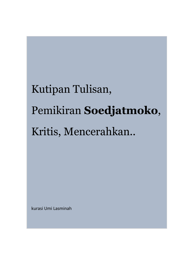# Kutipan Tulisan, Pemikiran **Soedjatmoko**, Kritis, Mencerahkan..

kurasi Umi Lasminah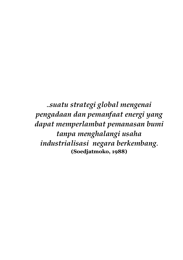**..***suatu strategi global mengenai pengadaan dan pemanfaat energi yang dapat memperlambat pemanasan bumi tanpa menghalangi usaha industrialisasi negara berkembang***. (Soedjatmoko, 1988)**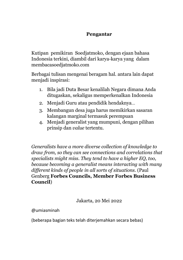## **Pengantar**

Kutipan pemikiran Soedjatmoko, dengan ejaan bahasa Indonesia terkini, diambil dari karya-karya yang dalam membacasoedjatmoko.com

Berbagai tulisan mengenai beragam hal. antara lain dapat menjadi inspirasi:

- 1. Bila jadi Duta Besar kenalilah Negara dimana Anda ditugaskan, sekaligus memperkenalkan Indonesia
- 2. Menjadi Guru atau pendidik hendaknya…
- 3. Membangun desa juga harus memikirkan sasaran kalangan marginal termasuk perempuan
- 4. Menjadi generalist yang mumpuni, dengan pilihan prinsip dan *value* tertentu.

*Generalists have a more diverse collection of knowledge to draw from, so they can see connections and correlations that specialists might miss. They tend to have a higher EQ, too, because becoming a generalist means interacting with many different kinds of people in all sorts of situations.* (Paul Genberg **Forbes Councils, Member Forbes Business Council**)

Jakarta, 20 Mei 2022

@umiasminah

(beberapa bagian teks telah diterjemahkan secara bebas)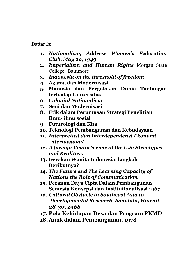Daftar Isi

- *1. Nationalism, Address Women's Federation Club, May 2o, 1949*
- 2. *Imperialism and Human Rights* Morgan State College Baltimore
- 3. *Indonesia on the threshold of freedom*
- **4. Agama dan Modernisasi**
- **5. Manusia dan Pergolakan Dunia Tantangan terhadap Universitas**
- **6.** *Colonial Nationalism*
- **7. Seni dan Modernisasi**
- **8. Etik dalam Perumusan Strategi Penelitian Ilmu- ilmu sosial**
- **9. Futurologi dan Kita**
- **10. Teknologi Pembangunan dan Kebudayaan**
- *11. Interpretasi dan Interdependensi Ekonomi nternasional*
- *12. A foreign Visitor's view of the U.S: Streotypes and Realities.*
- **13. Gerakan Wanita Indonesia, langkah Berikutnya?**
- *14. The Future and The Learning Capacity of Nations the Role of Communication*
- **15. Peranan Daya Cipta Dalam Pembangunan Semesta Konsepsi dan Institutionalisasi 1967**
- *16. Cultural Obstacle in Southeast Asia to Developmental Research, honolulu, Hawaii, 28-30, 1968*
- *17.* **Pola Kehidupan Desa dan Program PKMD**
- **18. Anak dalam Pembangunan, 1978**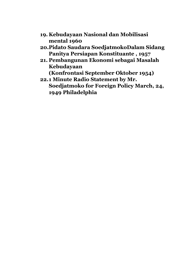- **19. Kebudayaan Nasional dan Mobilisasi mental 1960**
- **20.Pidato Saudara SoedjatmokoDalam Sidang Panitya Persiapan Konstituante , 1957**
- **21. Pembangunan Ekonomi sebagai Masalah Kebudayaan**

**(Konfrontasi September Oktober 1954)**

**22.1 Minute Radio Statement by Mr. Soedjatmoko for Foreign Policy March, 24, 1949 Philadelphia**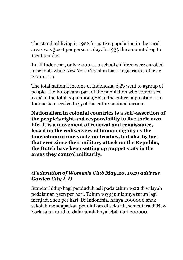The standard living in 1922 for native population in the rural areas was 3cent per person a day. In 1933 the amount drop to 1cent per day.

In all Indonesia, only 2.000.000 school children were enrolled in schools while New York City alon has a registration of over 2.000.000

The total national income of Indonesia, 65% went to agroup of people- the Europeann part of the population who comprises 1/2% of the total population.98% of the entire population- the Indonesian received 1/5 of the entire national income.

**Nationalism in colonial countries is a self -assertion of the people's right and responsibility to live their own life. It is a movement of renewal and renaissance, based on the rediscovery of human dignity as the touchstone of one's solemn treaties, but also by fact that ever since their military attack on the Republic, the Dutch have been setting up puppet stats in the areas they control militarily.**

# *(Federation of Women's Club May,20, 1949 address Garden City L.I)*

Standar hidup bagi penduduk asli pada tahun 1922 di wilayah pedalaman 3sen per hari. Tahun 1933 jumlahnya turun lagi menjadi 1 sen per hari. Di Indonesia, hanya 2000000 anak sekolah mendapatkan pendidikan di sekolah, sementara di New York saja murid terdafar jumlahnya lebih dari 200000 .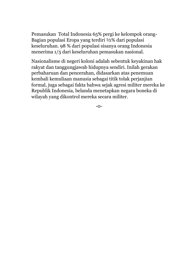Pemasukan Total Indonesia 65% pergi ke kelompok orang-Bagian populasi Eropa yang terdiri ½% dari populasi keseluruhan. 98 % dari populasi sisanya orang Indonesia menerima 1/5 dari keseluruhan pemasukan nasional.

Nasionalisme di negeri koloni adalah sebentuk keyakinan hak rakyat dan tanggungjawab hidupnya sendiri. Inilah gerakan perbaharuan dan pencerahan, didasarkan atas penemuan kembali kemuliaan manusia sebagai titik tolak perjanjian formal, juga sebagai fakta bahwa sejak agresi militer mereka ke Republik Indonesia, belanda menetapkan negara boneka di wilayah yang dikontrol mereka secara militer.

-0-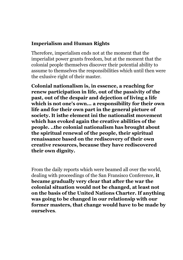# **Imperialism and Human Rights**

Therefore, imperialism ends not at the moment that the imperialist power grants freedom, but at the moment that the colonial people themselves discover their potential ability to assume to themselves the responsibilities which until then were the exlusive right of their master.

**Colonial nationalism is, in essence, a reaching for renew participation in life, out of the passivity of the past, out of the despair and dejection of living a life which is not one's own... a responsibility for their own life and for their own part in the general picture of society. It isthe element ini the nationalist movement which has evoked again the creative abilities of the people. ..the colonial nationalism has brought about the spiritual renewal of the people, their spiritual renaissance based on the rediscovery of their own creative resources, because they have rediscovered their own dignity.**

From the daily reports which were beamed all over the world, dealing with proceedings of the San Fransisco Conference, **it became gradually very clear that after the war the colonial situation would not be changed, at least not on the basis of the United Nations Charter. If anything was going to be changed in our relationsip with our former masters, that change would have to be made by ourselves**.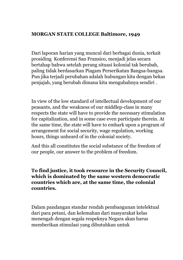#### **MORGAN STATE COLLEGE Baltimore, 1949**

Dari laporan harian yang muncul dari berbagai dunia, terkait prosiding Konferensi San Fransico, menjadi jelas secara bertahap bahwa setelah perang situasi kolonial tak berubah, paling tidak berdasarkan Piagam Perserikatan Bangsa-bangsa. Pun jika terjadi perubahan adalah hubungan kita dengan bekas penjajah, yang berubah dimana kita mengubahnya sendiri .

In view of the low standard of intellectual development of our peasants, and the weakness of our middlep-class in many respects the state will have to provide the necessary stimulation for capitalization, and in some case even participate therein. At the same time, the state will have to embark upon a program of arrangement for social security, wage regulation, working hours, things unheard of in the colonial society.

And this all constitutes the social substance of the freedom of our people, our answer to the problem of freedom.

#### **To find justice, it took resource in the Security Council, which is dominated by the same western democratic countries which are, at the same time, the colonial countries.**

Dalam pandangan standar rendah pembangunan intelektual dari para petani, dan kelemahan dari masyarakat kelas menengah dengan segala respeknya Negara akan harus memberikan stimulasi yang dibutuhkan untuk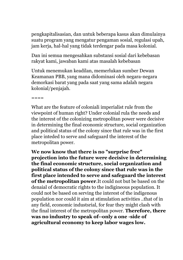pengkapitalisasian, dan untuk beberapa kasus akan dimulainya suatu program yang mengatur pengaman sosial, regulasi upah, jam kerja, hal-hal yang tidak terdengar pada masa kolonial.

Dan ini semua mengesahkan substansi sosial dari kebebasan rakyat kami, jawaban kami atas masalah kebebasan

Untuk menemukan keadilan, memerlukan sumber Dewan Keamanan PBB, yang mana didominasi oleh negara-negara demorkasi barat yang pada saat yang sama adalah negara kolonial/penjajah.

====

What are the feature of coloniali imperialist rule from the viewpoint of human right? Under colonial rula the needs and the interest of the colonizing metropolitan power were decisive in determining the final economic structure, social organization and political status of the colony since that rule was in the first place inteded to serve and safeguard the interest of the metropolitan power.

**We now know that there is no "surprise free" projection into the future were decisive in determining the final economic structure, social organization and political status of the colony since that rule was in the first place intended to serve and safeguard the interest of the metropolitan power**.It could not but be based on the denaial of democratic rights to the indigineous population. It could not be based on serving the interest of the indigenous population nor could it aim at stimulation activities ..that of in any field, economic industsrial, for fear they might clash with the final interest of the metropolitan power. **Therefore, there was no industry to speak of--only a one -side of agricultural economy to keep labor wages low.**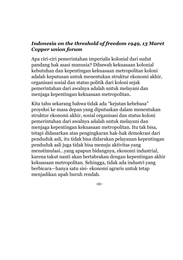# *Indonesia on the threshold of freedom 1949, 13 Maret Copper union forum*

Apa ciri-ciri pemerintahan imperialis kolonial dari sudut pandang hak asasi manusia? Dibawah kekuasaan kolonial kebutuhan dan kepentingan kekuasaan metropolitan koloni adalah keputusan untuk menentukan struktur ekonomi akhir, organisasi sosial dan status politik dari koloni sejak pemerintahan dari awalnya adalah untuk melayani dan menjaga kepentingan kekuasaan metropolitan.

Kita tahu sekarang bahwa tidak ada "kejutan kebebasa" proyeksi ke masa depan yang diputuskan dalam menentukan struktur ekonomi akhir, sosial organisasi dan status koloni pemerintahan dari awalnya adalah untuk melayani dan menjaga kepentingan kekuasaan metropolitan. Itu tak bisa, tetapi didasarkan atas pengingkaran hak-hak demokrasi dari penduduk asli, itu tidak bisa didarakan pelayanan kepentingan penduduk asli juga tidak bisa menuju aktivitas yang menstimulasi…yang apapun bidangnya, ekonomi industrial, karena takut nanti akan bertabrakan dengan kepentingan akhir kekuasaan metropolitan. Sehingga, tidak ada industri yang berbicara—hanya satu sisi- ekonomi agraris untuk tetap menjadikan upah buruh rendah.

-0-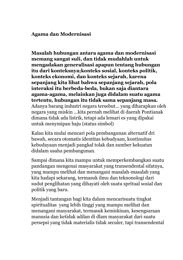#### **Agama dan Modernisasi**

**Masalah hubungan antara agama dan modernisasi memang sangat suli, dan tidak mudahlah untuk mengadakan generalisasi apapun tentang hubungan itu dari konteksnya;konteks sosial, konteks politik, konteks ekonomi, dan konteks sejarah, karena sepanjang kita lihat bahwa sepanjang sejarah, pola interaksi itu berbeda-beda, bukan saja diantara agama-agama, melainkan juga didalam suatu agama tertentu, hubungan itu tidak sama sepanjang masa.** Adanya barang industri negara tersebut... yang diharapkan oleh negara yang miskin ...kita pernah melihat di daerah Pontianak dimana tidak ada listrik, tetapi ada lemari es yang dipakai untuk menymipan baju (status simbol)

Kalau kita mulai mencari pola pembangunan alternatif dri bawah, secara otomatis identitas kebudyaan, kontinuitas kebudayaan menjadi pangkal tolak dan sumber kekuatan didalam usaha pembangunan.

Sampai dimana kita mampu untuk memperkembangkan suatu pandangan mengenai masyarakat yang transendental sifatnya, yang mampu melihat dan menangani masalah-masalah yang kita hadapi sekarang, termasuk ilmu dan teknonologi dari sudut penglihatan yang dihayati oleh suatu spritual sosial dan politik yang baru.

Menjadi tantangan bagi kita dalam mencarisuatu tingkat spiritualitas yang lebih tinggi yang mampu melihat dan menangani masyarakat, termasuk kemiskinan, kesengsaraan manusia dan ketidak adilan di dlam masyarakat dari suatu persepsi yang tidak materialis tidak seculer, tapi transendental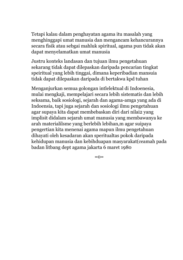Tetapi kalau dalam penghayatan agama itu masalah yang menghinggapi umat manusia dan mengancam kehancurannya secara fisik atau sebgai mahluk spiritual, agama pun tidak akan dapat menyelamatkan umat manusia

Justru konteks landasan dan tujuan ilmu pengetahuan sekarang tidak dapat dilepaskan daripada pencarian tingkat speiritual yang lebih tinggai, dimana keperibadian mansuia tidak dapat dilepaskan daripada di bertakwa kpd tuhan

Menganjurkan semua golongan intlelektual di Indoenesia, mulai mengkaji, mempelajari secara lebih sistematis dan lebih seksama, baik sosiologi, sejarah dan agama-amga yang ada di Indoensia, tapi juga sejarah dan sosiologi ilmu pengetahuan agar supaya kita dapat membebaskan diri dari nilai2 yang implisit didalam sejarah umat manusia yang membawanya ke arah materialilsme yang berlebih lebihan,m agar suipaya pengertian kita menenai agama mapun ilmu pengetahuan dihayati oleh kesadaran akan speritualtas pokok daripada kehidupan manusia dan kebihduapan masyarakat(ceamah pada badan litbang dept agama jakarta 6 maret 1980

 $=0$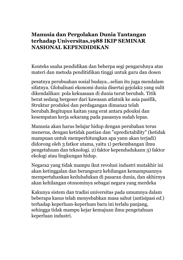# **Manusia dan Pergolakan Dunia Tantangan terhadap Universitas,1988 IKIP SEMINAR NASIONAL KEPENDIDIKAN**

Konteks usaha pendidikan dan beberpa segi pengaruhnya atas materi dan metoda penditidikan tinggi untuk guru dan dosen

pesatnya perubuahan sosial budaya...selian itu juga mendalam sifatnya. Globalisasi ekonomi dunia disertai gejolak2 yang sulit dikendalikan: pola kekuasaan di dunia turut berubah. Titik berat sedang bergeser dari kawasan atlatnik ke asia pasifik, Struktur produksi dan perdagangan dimana2 telah berubah.Begitupun kaitan yang erat antara pdouksi dan kesempatan kerja sekarang pada pasasnya sudah lepas.

Manusia akan harus belajar hidup dengan perubahan terus menerus, dengan ketidak pastian dan "upredictability" (ketidak mampuan untuk memperhitungkan apa yann akan terjadi) didorong oleh 3 fatkor utama, yaitu 1) perkembangan ilmu pengetahuan dan teknologi. 2) faktor kependudukann 3) faktor ekologi atau lingkungan hidup.

Negara2 yang tidak mampu ikut revolusi industri mutakhir ini akan ketinggalan dan berangsur2 kehilangan kemampuannya mempertahankan keduludukan di pasaran dunia, dan akhirnya akan kehilangan otonominya sebagai negara yang merdeka

Kakunya sistem dan tradisi universitas pada umumnya dalam beberapa kasus telah menyebabkan masa sahut (antisipasi *ed*.) terhadap keperluan-keperluan baru ini terlalu panjang, sehingga tidak mampu kejar kemajuan ilmu pengetahuan keperluan industri.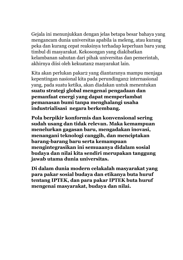Gejala ini menunjukkan dengan jelas betapa besar bahaya yang mengancam dunia universitas apabila ia meleng, atau kurang peka dan kurang cepat reaksinya terhadap keperluan baru yang timbul di masyarakat. Kekosongan yang diakibatkan kelambanan sahutan dari pihak universitas dan pemerintah, akhirnya diisi oleh kekuatan2 masyarakat lain.

Kita akan perlukan pakar2 yang diantaranya mampu menjaga kepentingan nasional kita pada perundingan2 internasional yang, pada suatu ketika, akan diadakan untuk menentukan **suatu strategi global mengenai pengadaan dan pemanfaat energi yang dapat memperlambat pemanasan bumi tanpa menghalangi usaha industrialisasi negara berkembang.**

**Pola berpikir konformis dan konvensional sering sudah usang dan tidak relevan. Maka kemampuan menelurkan gagasan baru, mengadakan inovasi, menangani teknologi canggih, dan menciptakan barang-barang baru serta kemampuan mengintegrasikan ini semuaanya didalam sosial budaya dan nilai kita sendiri merupakan tanggung jawab utama dunia universitas.**

**Di dalam dunia modern celakalah masyarakat yang para pakar sosial budaya dan etikanya buta huruf tentang IPTEK, dan para pakar IPTEK buta huruf mengenai masyarakat, budaya dan nilai.**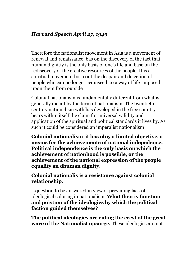# *Harvard Speech April 27, 1949*

Therefore the nationalist movement in Asia is a movement of renewal and renaissance, bas on the discovery of the fact that human dignitiy is the only basis of one's life and base on the rediscovery of the creative resources of the people. It is a spiritual movement born out the despair and dejection of people who can no longer acquisced to a way of life imposed upon them from outside

Colonial nationalism is fundamentally different from what is generally meant by the term of nationalism. The twentieth century nationalism with has developed in the free country bears within itself the claim for universal validity and application of the spiritual and political standards it lives by. As such it could be considered an imperalist nationalism

**Colonial nationalism it has olny a limited objective, a means for the achievemente of national indepedence. Political independence is the only basis on which the achievement of nationhood is possible, or the achievement of the national expression of the people equality an dhuman dignity.**

## **Colonial nationalis is a resistance against colonial relationship.**

...question to be answered in view of prevailing lack of ideological coloring in nationalism. **What then is function and poistion of the ideologies by which the political faction guided themselves?**

**The political ideologies are riding the crest of the great wave of the Nationalist upsurge.** These ideologies are not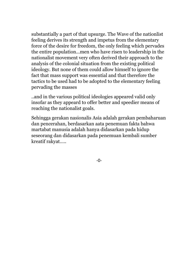substantially a part of that upsurge. The Wave of the nationlist feeling derives its strength and impetus from the elementary force of the desire for freedom, the only feeling which pervades the entire population...men who have risen to leadership in the nationalist movement very often derived their approach to the analysis of the colonial situation from the existing political ideology. But none of them could allow himself to ignore the fact that mass support was essential and that therefore the tactics to be used had to be adopted to the elementary feeling pervading the masses

..and in the various political ideologies appeared valid only insofar as they appeard to offer better and speedier means of reaching the nationalist goals.

Sehingga gerakan nasionalis Asia adalah gerakan pembaharuan dan pencerahan, berdasarkan aata penemuan fakta bahwa martabat manusia adalah hanya didasarkan pada hidup seseorang dan didasarkan pada penemuan kembali sumber kreatif rakyat…..

-0-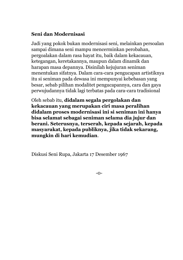# **Seni dan Modernisasi**

Jadi yang pokok bukan modernisasi seni, melainkan persoalan sampai dimana seni mampu mencerminkan perobahan, pergoalakan dalam rasa hayat itu, baik dalam kekacauan, ketegangan, keretakannya, maupun dalam dinamik dan harapan masa depannya. Disinilah kejujuran seniman menentukan sifatnya. Dalam cara-cara pengucapan artistiknya itu si seniman pada dewasa ini mempunyai kebebasan yang besar, sebab pilihan modalitet pengucapannya, cara dan gaya perwujudannya tidak lagi terbatas pada cara-cara tradisional

Oleh sebab itu, **didalam segala pergolakan dan kekacauan yang merupakan ciri masa peralihan didalam proses modernisasi ini si seniman ini hanya bisa selamat sebagai seniman selama dia jujur dan berani. Seterusnya, terserah, kepada sejarah, kepada masyarakat, kepada publiknya, jika tidak sekarang, mungkin di hari kemudian**.

Diskusi Seni Rupa, Jakarta 17 Desember 1967

-0-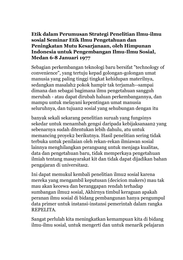# **Etik dalam Perumusan Strategi Penelitian Ilmu-ilmu sosial Seminar Etik Ilmu Pengetahuan dan Peningkatan Mutu Kesarjanaan, oleh Himpunan Indonesia untuk Pengembangan Ilmu-Ilmu Sosial, Medan 6-8 Januari 1977**

Sebagian perkembangan teknologi baru bersifat "technology of convenience", yang tertuju kepad golongan-golongan umat manusia yang paling tinggi tingkat kehidupan materilnya, sedangkan masalah2 pokok hampir tak terjamah--sampai dimana dan sebagai bagimana ilmu pengetahuan sangguh merubah - atau dapat dirubah haluan perkembangannya, dan mampu untuk melayani kepentingan umat manusia seluruhnya, dan tujuan2 sosial yang sehubungan dengan itu

banyak sekali sekarang penelitian suruah yang fungsinys sekedar untuk menambah gengsi daripada kebijaksanaan2 yang sebenarnya sudah ditentukan lebih dahulu, atu untuk memancing proyek2 berikutnya. Hasil penelitian sering tidak terbuka untuk penilaian oleh rekan-rekan ilmiawan sosial lainnya menghilangkan perangsang untuk menjaga kualitas, data dan pengetahuan baru, tidak memperkaya pengetahuan ilmiah tentang masayarakat kit dan tidak dapat dijadikan bahan pengajaran di universitas2.

Ini dapat memukul kembali penelitian ilmu2 sosial karena mereka yang mengambil keputusan (decicion makers) mau tak mau akan kecewa dan beranggapan rendah terhadap sumbangan ilmu2 sosial, Akhirnya timbul keraguan apakah peranan ilmu sosial di bidang pembangunan hanya pengumpul data primer untuk instansi-instansi pemerintah dalam rangka REPELITA.

Sangat perlulah kita meningkatkan kemampuan kita di bidang ilmu-ilmu sosial, untuk mengerti dan untuk menarik pelajaran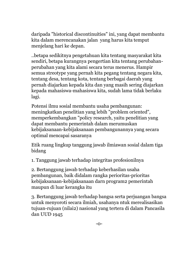daripada "historical discontinuities" ini, yang dapat membantu kita dalam merencanakan jalan yang harus kita temput menjelang hari ke depan.

..betapa sedikitnya pengetahuan kita tentang masyarakat kita sendiri, betapa kurangnya pengertian kita tentang perubahanperubahan yang kita alami secara terus menerus. Hampir semua streotype yang pernah kita pegang tentang negara kita, tentang desa, tentang kota, tentang berbagai daerah yang pernah diajarkan kepada kita dan yang masih sering diajarkan kepada mahasiswa-mahasiswa kita, sudah lama tidak berlaku lagi.

Potensi ilmu sosial membantu usaha pembangunan: meningkatkan penelitian yang lebih "problem oriented", memperkembangkan "policy research, yaitu penelitian yang dapat membantu pemerintah dalam merumuskan kebijaksanaan-kebijaksanaan pembangunannya yang secara optimal mencapai sasaranya

Etik ruang lingkup tanggung jawab ilmiawan sosial dalam tiga bidang

1. Tanggung jawab terhadap integritas profesionilnya

2. Bertanggung jawab terhadap keberhasilan usaha pembangunan, baik didalam rangka perioritas-prioritas kebijaksanaan-kebijaksanaan darn program2 pemerintah maupun di luar kerangka itu

3. Bertanggung jawab terhadap bangsa serta perjuangan bangsa untuk menyoroti secara ilmiah, usahanya ntuk merealisasikan tujuan-rujuan (nilai2) nasional yang tertera di dalam Pancasila dan UUD 1945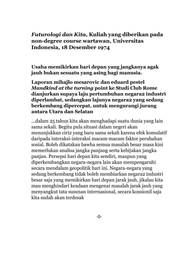# *Futurologi dan Kita***, Kuliah yang diberikan pada non-degree course wartawan, Universitas Indonesia, 18 Desember 1974**

**Usaha memikirkan hari depan yang jangkanya agak jauh bukan sesuatu yang asing bagi manusia.**

#### **Laporan mihajlo mesarovic dan eduard pestel**  *Mandkind at the turning* **point ke Studi Club Rome dianjurkan supaya laju pertumbuhan negara2 industri diperlambat, sedangkan lajunya negara2 yang sedang berkembang dipercepat, untuk mengurangi jurang antara Utara dan Selatan**

...dalam 25 tahun kita akan menghadapi suatu dunia yang lain sama sekali. Begitu pula situasi dalam negeri akan menunjukkan ciri2 yang baru sama sekali karena efek komulatif daripada interaksi-interaksi macam-macam faktor perubahan sosial. Boleh dikatakan bawha semua masalah besar masa kini memerlukan analisa jangka panjang serta kebijakan jangka panjan. Persepsi hari depan kita sendiri, maupun yang diperkembangkan negara-negara lain akan mempengaruhi secara mendalam geopolitik hari ini. Negara-negara yang sedang berkembang tidak boleh membiarkan negara2 industri besar saja yang memikirkan hari depan jarak jauh, jikalau kita mau menghindari keadaan mengenai masalah jarak jauh yang menyangkut tata susunan internasional, secara konsionil saja kita sudah akan terdesak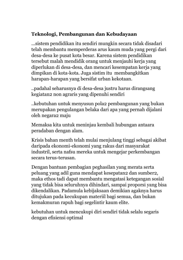# **Teknologi, Pembangunan dan Kebudayaan**

...sistem pendidikan itu sendiri mungkin secara tidak disadari telah membantu memperderas arus kaum muda yang pergi dari desa-desa ke pusat kota besar. Karena sistem pendidikan tersebut malah mendidik orang untuk menjauhi kerja yang diperlukan di desa-desa, dan mencari kesempatan kerja yang dimpikan di kota-kota. Juga sistim itu membangkitkan harapan-harapan yang bersifat urban kekotaan.

..padahal seharusnya di desa-desa justru harus dirangsang kegiatan2 non agraris yang dipenuhi sendiri

..kebutuhan untuk menyusun pola2 pembangunan yang bukan merupakan pengulangan belaka dari apa yang pernah dijalani oleh negara2 maju

Memaksa kita untuk meninjau kembali hubungan antaara peradaban dengan alam.

Krisis bahan menth telah mulai menjulang tinggi sebagai akibat daripada ekonomi-ekonomi yang rakus dari masyarakat industril, serta nafsu mereka untuk mengejar perkembangan secara terus-terusan.

Dengan bantuan pembagian peghasilan yang merata serta peluang yang adil guna mendapat kesepatan2 dan sumber2, maka ethos tadi dapat membantu mengatasi ketegangan sosial yang tidak bisa seluruhnya dihindari, sampai proporsi yang bisa dikendalikan. Padamula kebijaksaan demikian agaknya harus ditujukan pada kecukupan materiil bagi semua, dan bukan kemakmuran rapuh bagi segelintir kaum elite.

kebutuhan untuk mencukupi diri sendiri tidak selalu segaris dengan efisiensi optimal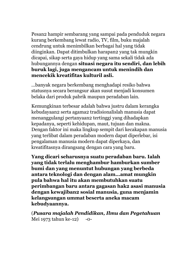Pesan2 hampir sembarang yang sampai pada penduduk negara kurang berkembang lewat radio, TV, film, buku majalah cendrung untuk menimbilkan berbagai hal yang tidak diinginkan. Dapat ditimbulkan harapan2 yang tak mungkin dicapai, sikap serta gaya hidup yang sama sekali tidak ada hubungannya dengan **situasi negara itu sendiri, dan lebih buruk lagi, juga mengancam untuk menindih dan mencekik kreatifitas kulturil asli.**

...banyak negara berkembang menghadapi resiko bahwa statusnya secara berangsur akan susut menjadi konsumen belaka dari produk pabrik maupun peradaban lain.

Kemungkinan terbesar adalah bahwa justru dalam kerangka kebudayaan2 serta agama2 tradisionalislah manusia dapat menanggulangi pertanyaan2 tertinggi yang dihadapkan kepadanya, seperti kehidupan, maut, tujuan dan makna. Dengan faktor ini maka lingkup sempit dari kecakapan manusia yang terlibat dalam peradaban modern dapat diperlebar, isi pengalaman manusia modern dapat diperkaya, dan kreatifitasnya dirangsang dengan cara yang baru.

**Yang dicari seharusnya suatu peradaban baru. Ialah yang tidak terlalu menghambur hamburkan sumber bumi dan yang menuntut hubungan yang berbeda antara teknologi dan dengan alam...amat mungkin pula bahwa hal itu akan membutuhkan suatu perimbangan baru antara gagasan hak2 asasi manusia dengan kewajiban2 sosial manusia, guna menjamin kelangsungan ummat beserta aneka macam kebudyaannya.**

(*Pusara majalah Pendidikan, Ilmu dan Pegetahuan* Mei 1973 tahun ke-12) -0-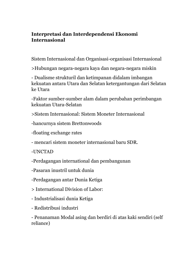### **Interpretasi dan Interdependensi Ekonomi Internasional**

Sistem Internasional dan Organisasi-organisasi Internasional

>Hubungan negara-negara kaya dan negara-negara miskin

- Dualisme strukturil dan ketimpanan didalam imbangan kekuatan antara Utara dan Selatan ketergantungan dari Selatan ke Utara

-Faktor sumber-sumber alam dalam perubahan perimbangan kekuatan Utara-Selatan

>Sistem Internasional: Sistem Moneter Internasional

-hancurnya sistem Brettonwoods

-floating exchange rates

- mencari sistem moneter internasional baru SDR.

-UNCTAD

-Perdagangan international dan pembangunan

-Pasaran inustril untuk dunia

-Perdagangan antar Dunia Ketiga

> International Division of Labor:

- Industrialisasi dunia Ketiga

- Redistribusi industri

- Penanaman Modal asing dan berdiri di atas kaki sendiri (self reliance)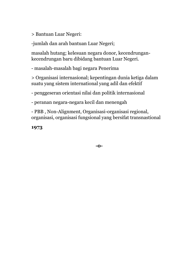> Bantuan Luar Negeri:

-jumlah dan arah bantuan Luar Negeri;

masalah hutang; kelesuan negara donor, kecendrungankecendrungan baru dibidang bantuan Luar Negeri.

- masalah-masalah bagi negara Penerima

> Organisasi internasional; kepentingan dunia ketiga dalam suatu yang sistem international yang adil dan efektif

- penggeseran orientasi nilai dan politik internasional

- peranan negara-negara kecil dan menengah

- PBB , Non-Alignment, Organisasi-organisasi regional, organisasi, organisasi fungsional yang bersifat transnastional

**1973**

**-0-**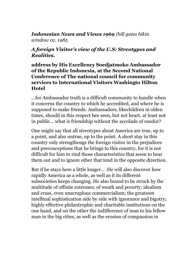# *Indonesian News and Views 1969 (bill gates bikin window 01. 1985*

#### *A foreign Visitor's view of the U.S: Streotypes and Realities.*

# **address by His Excellency Soedjatmoko Ambassador of the Republic Indonesia, at the Second National Conference of The national council for community services to International Visitors Washingto Hilton Hotel**

...for Ambassador truth is a difficult community to handle when it concerns the country to which he accredited, and where he is supposed to make friends. Ambassadors, likechildren in olden times, should in this respect bee seen, but not heart, at least not in public... what is friendship without the accolade of candor?

One might say that all streotypes about America are true, up to a point, and also untrue, up to the point. A short stay in this country only strengthengs the foreign visitor in the prejudices and preconceptions that he brings to this country, for it is not difficult for him to rind those characteristics that seem to bear them out and to ignore other that tend in the opposite direction.

But if he stays here a little longer... .He will also discover how rapidly America as a whole, as well as it its different subsocieties keeps changing. He also bound to be struck by the multitude of offisite extremes; of weath and poverty; idealism and crass, even unscruplous commercialism; the greateest intelltual sophistication side by side with ignorance and bigotry; highly effective philantrophic and charitable institutions on the one hand, and on the other the indifference of man to his fellow man in the big cities, as well as the erosion of compassion in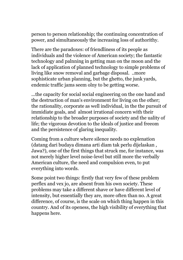person to person relationship; the continuing concentration of power, and simultaneously the increasing loss of authorithy.

There are the paradoxes: of friendliness of its people as individuals and the violence of American society; the fantastic technology and palnning in getting man on the moon and the lack of application of planned technology to simple problems of living like snow removal and garbage disposal. ..more sophisticate urban planning, but the ghetto, the junk yards, endemic traffic jams seem olny to be getting worse.

...the capacity for social social engineering on the one hand and the destruction of man's environment for living on the other; the rationality, corporate as well individual, in the the pursuit of immidiate goals, and almost irrational concern with their relationship to the broader purposes of society and the uality of life; the vigorous devotion to the ideals of justice and freeom and the persistence of glaring inequality.

Coming from a culture where silence needs no explenation (datang dari budaya dimana arti diam tak perlu dijelaskan , Jawa?), one of the first things that struck me, for instance, was not merely higher level noise-level but still more the verbally American culture, the need and compulsion even, to put everything into words.

Some point two things: firstly that very few of these problem perflex and vex jo, are absent from his own society. These problems may take a different shave or have different level of intensity, but essentially they are, more often than no. A great difference, of course, is the scale on which thing happen in this country. And of its openess, the high visibility of everything that happens here.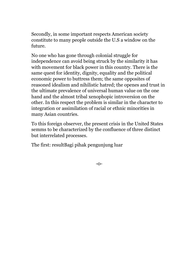Secondly, in some important respects American society constitute to many people outside the U.S a window on the future.

No one who has gone through colonial struggle for independence can avoid being struck by the similarity it has with movement for black power in this country. There is the same quest for identity, dignity, equality and the political economic power to buttress them; the same opposites of reasoned idealism and nihilistic hatred; the openes and trust in the ultimate prevalence of universal human value on the one hand and the almost tribal xenophopic introversion on the other. In this respect the problem is similar in the character to integration or assimilation of racial or ethnic minorities in many Asian countries.

To this foreign observer, the present crisis in the United States semms to be characterized by the confluence of three distinct but interrelated processes.

The first: resultBagi pihak pengunjung luar

-0-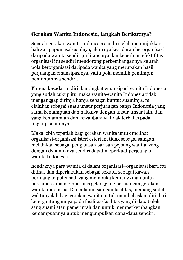# **Gerakan Wanita Indonesia, langkah Berikutnya?**

Sejarah gerakan wanita Indonesia sendiri telah menunjukkan bahwa apapun asal-usulnya, akhirnya kesadaran berorganisasi daripada wanita sendiri,militansinya dan keperluan efektifitas organisasi itu sendiri mendorong perkembangannya ke arah pola berorganisasi daripada wanita yang merupakan hasil perjuangan emansipasinya, yaitu pola memilih pemimpinpemimpinnya sendiri.

Karena kesadaran diri dan tingkat emansipasi wanita Indonesia yang sudah cukup itu, maka wanita-wanita Indonesia tidak menganggap dirinya hanya sebagai buntut suaminya, m elainkan sebagai suatu unsur perjuangan bangs Indonesia yang sama kemampuan dan hakknya dengan unsur-unsur lain, dan yang kemampuan dan kewajibannya tidak terbatas pada lingkup suaminya.

Maka lebih tepatlah bagi gerakan wanita untuk melihat organisasi-organisasi isteri-isteri ini tidak sebagai saingan, melainkan sebagai pengluasan barisan pejoang wanita, yang dengan dynamiknya sendiri dapat meperkuat perjoangan wanita Indonesia.

hendaknya para wanita di dalam organisasi–organisasi baru itu dilihat dan diperlakukan sebagai sekutu, sebagai kawan perjuangan potensial, yang membuka kemungkinan untuk bersama-sama memperluas gelanggang perjuangan gerakan wanita indonesia. Dan adapun saingan fasilitas, memang sudah waktunyalah bagi gerakan wanita untuk membebaskan diri dari ketergantungannya pada fasilitas-fasilitas yang di dapat oleh sang suami atau pemerintah dan untuk memperkembangkan kemampuannya untuk mengumpulkan dana-dana sendiri.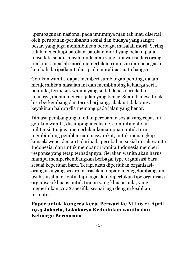..pembagunan nasional pada umumnya mau tak mau disertai oleh perubahan-perubahan sosial dan budaya yang sangat besar, yang juga menimbulkan berbagai masalah moril. Sering tidak mencukupi patokan-patokan moril yang belaku pada masa kita sendir masih muda atau yang kita warisi dari orang tua kita. ., maslah moril memerlukan rumusan dan penegasan kembali daripada inti dari pada moralitas suatu bangsa

Gerakan wanita dapat memberi sumbangan penting, dalam menjernihkan masalah ini dan membimbing keluarga serta pemuda, termasuk wanita yang sudah lepas dari ikatan keluarga, dalam mencari jalan yang benar. Suatu bangsa tidak bisa berkembang dan terus berjuang, jikalau tidak punya keyakinan bahwa dia memang pada jalan yang benar.

Dimasa pembangungan ndan perobahan sosial yang cepat ini, gerakan wanita, disamping idealisme, commitment dan militansi itu, juga memerlukankemampuan untuk turut membimbing pembharuan masyarakat, untuk menangkap konsekswensi dan airti daripada perubahan sosial untuk wanita Indonesia, dan untuk membantu wanita Indonesia memberi response yang tetap terhadapnya. Gerakan wanita akan harus mampu memperkembangkan berbagai type organisasi baru, sesuai keperluan baru. Tetapi akan diperlukan organisasiorangaisai yang secara massa akan dapate menggelombangkan usaha-usaha tertentu, tapi juga akan diperlukan tipe organisasiorganisasi khusus untuk tujuan yang khusus pula, yang memerlukan cara2 spesifik, sesuai juga dengan keahlian tertentu.

#### **Paper untuk Kongres Kerja Perwari ke XII 16-21 April 1973 Jakarta, Lokakarya Kedudukan wanita dan Keluarga Berencana**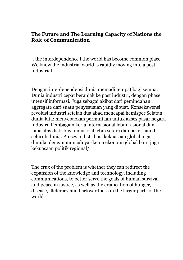#### **The Future and The Learning Capacity of Nations the Role of Communication**

.. the interdependence f the world has become common place. We know the industrial world is rapidly moving into a postindustrial

Dengan interdependensi dunia menjadi tempat bagi semua. Dunia industri cepat beranjak ke post industri, dengan phase intensif informasi. Juga sebagai akibat dari pemindahan aggregate dari suatu penyesuaian yang dibuat. Konsekswensi revolusi industri setelah dua abad mencapai hemisper Selatan dunia kita; menyebabkan permintaan untuk akses pasar negara industri. Pembagian kerja internasional lebih rasional dan kapasitas distribusi industrial lebih setara dan pekerjaan di seluruh dunia. Proses redistribusi kekuasaan global juga dimulai dengan munculnya skema ekonomi global baru juga kekuasaan politik regional/

The crux of the problem is whether they can redirect the expansion of the knowledge and technology, including communications, to better serve the goals of human survival and peace in justice, as well as the eradication of hunger, disease, illeteracy and backwardness in the larger parts of the world.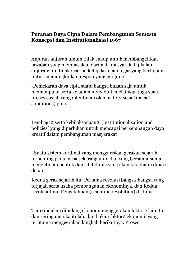#### **Peranan Daya Cipta Dalam Pembangunan Semesta Konsepsi dan Institutionalisasi 1967**

Anjuran-anjuran umum tidak cukup untuk membangkitkan jawaban yang memuasakan daripada masyarakat, jikalau anjuran2 itu tidak disertai kebijaksanaan tegas yang bertujuan untuk memungkinkan respon yang berguna:

-Pemekaran daya cipta suatu bangsa bukan saja untuk memampuan serta kejadian individuil, melainkan juga suatu proses sosial, yang ditentukan oleh faktor2 sosial (social conditions) pula.

Lembaga2 serta kebijaksanaan2 (institutionalisation and policies( yang diperlukan untuk mencapai perkembangan daya kreatif dalam pembangunan masyarakat

..Suatu sistem kordinat yang menggariskan gerakan sejarah terpenting pada masa sekarang inim dan yang bersama-sama menentukan bentuk dan sifat dunia yang akan kita diami dihari depan.

Kedua gerak sejarah itu: Pertama revolusi bangsa-bangsa yang terjajah serta usaha pembangunan ekonominya, dan Kedua revolusi Ilmu Pengetahuan (scientific revolution) di dunia.

Tiap tindakan dibidang ekonomi menggerakan faktor2 lain itu, dan sering mereka itulah, dan bukan faktor2 ekonomi, yang terutama menggerakan langkah berikutnya. Proses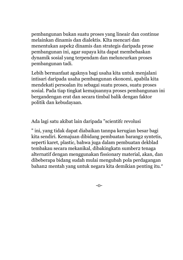pembangunan bukan suatu proses yang lineair dan continue melainkan dinamis dan dialektis. KIta mencari dan menentukan aspek2 dinamis dan strategis daripada prose pembangunan ini, agar supaya kita dapat membebaskan dynamik sosial yang terpendam dan meluncurkan proses pembangunan tadi.

Lebih bermanfaat agaknya bagi usaha kita untuk menjalani intisari daripada usaha pembangunan ekonomi, apabila kita mendekati persoalan itu sebagai suatu proses, suatu proses sosial. Pada tiap tingkat kemajuannya proses pembangunan ini bergandengan erat dan secara timbal balik dengan faktor politik dan kebudayaan.

Ada lagi satu akibat lain daripada "scientifc revolusi

" ini, yang tidak dapat diabaikan tannpa kerugian besar bagi kita sendiri. Kemajuan dibidang pembuatan barang2 syntetis, seperti karet, plastic, bahwa juga dalam pembuatan dekblad tembakau secara mekanikal, dibakingkatn sumber2 tenaga alternatif dengan menggunakan fissionary material, akan, dan dibeberapa bidang sudah mulai mengubah pola perdagangan bahan2 mentah yang untuk negara kita demikian penting itu."

-0-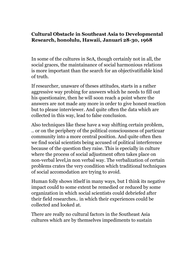# **Cultural Obstacle in Southeast Asia to Developmental Research, honolulu, Hawaii, Januari 28-30, 1968**

In some of the cultures in SeA, though certainly not in all, the social graces, the maintainance of social harmonious relations is more important than the search for an objectivatifiable kind of truth.

If researcher, unaware of theses attitudes, starts in a rather aggressive way probing for answers which he needs to fill out his questionaire, then he will soon reach a point where the answers are not made any more in order to give honest reaction but to please interviewer. And quite often the data which are collected in this way, lead to false conclusion.

Also techniques like these have a way shifting certain problem, .. or on the periphery of the political consciousness of particuar community into a more central position. And quite often then we find social scientists being accused of political interference because of the question they raise. This is epecially in culture where the process of social adjustment often takes place on non-verbal level,in non verbal way. The verbalization of certain problems crates the very condition which traditional techniques of social accomodation are trying to avoid.

Human folly shows itlself in many ways, but I think its negative impact could to some extent be remedied or reduced by some organization in which social scientists could debriefed after their field researches.. in which their experiences could be collected and looked at.

There are really no cultural factors in the Southeast Asia cultures which are by themselves impediments to sustain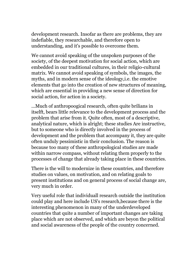development research. Insofar as there are problems, they are indefiable, they researchable, and therefore open to understanding, and it's possible to overcome them.

We cannot avoid speaking of the unspoken purposes of the society, of the deepest motivation for social action, which are embedded in our traditional cultures, in their religio-cultural matrix. We cannot avoid speaking of symbols, the images, the myths, and in modern sense of the ideology,i.e. the emotive elements that go into the creation of new structures of meaning, which are essential in providing a new sense of direction for social action, for action in a society.

...Much of anthropoogical research, often quite brilians in itselft, bears little relevance to the development process and the problem that arise from it. Quite often, most of a descriptive, analytical nature, which is alright; these studies Are instructive, but to someone who is directly involved in the process of development and the problem that accompany it, they are quite often unduly pessimistic in their conclusion. The reason is because too many of these anthropological studies are made within narrow compass, without relating them properly to the processes of change that already taking place in these countries.

There is the will to modernize in these countries, and therefore studies on values, on motivation, and on relating goals to present institutions and on general process of social change are, very much in order.

Very useful role that individuall research outside the institution could play and here include US's research,because there is the interesting phenomenon in many of the underdeveloped countries that quite a number of important changes are taking place which are not observed, and which are beyon the political and social awareness of the people of the country concerned.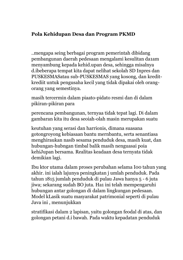## **Pola Kehidupan Desa dan Program PKMD**

..mengapa seing berbagai program pemerintah dibidang pembangunan daerah pedesaan mengalami kesulitan da1am menyambung kepada kehid.upan desa, sehingga misalnya d.ibeberapa tempat kita dapat nelihat sekolah SD Inpres dan PUSKESMASatau sub-PUSKESMAS yang kosong, dan kreditkrediit untuk pengusaha kecil yang tidak dipakai oleh orangorang yang semestinya.

masih tercermin dalam piaato-pidato resmi dan di dalam pikiran-pikiran para

perencana pembangunan, ternyaa tidak tepat lagi. Di dalam gambaran kita itu desa seoiah-olah masin merupakan suatu

keutuhan yang serasi dan harrionis, dimana suasana gotongroyong kebiasaan bantu mernbantu, serta senantiasa menghiraukan nasib sesama penduduk desa, masih kuat, dan hubungan-hubngan timbal balik masih nenguasai poia kehiJupan bersama. Realitas keadaan desa ternyata tidak demikian lagi.

Ibu ktor utama dalam proses perubahan selama I00 tahun yang akhir. ini ialah lajunya peningkatan j umlah penduduk. Pada tahun 1815 jumlah penduduk di pulau Jawa hanya 5 - 6 juta jiwa; sekarang sudah BO juta. Ha1 ini telah mempengaruhi hubungan antar golongan di dalam lingkungan pedesaan. Model kLasik suatu masyarakat patrimonial seperti di pulau Java ini , menunjukkan

stratifikasi dalam 2 lapisan, yaitu golongan feodal di atas, dan golongan petani d.i bawah. Pada waktu kepadatan penduduk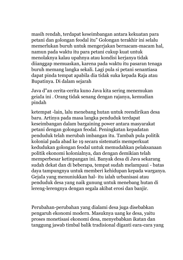masih rendah, terdapat keseimbangan antara kekuatan para petani dan golongan feodal itu" Golongan terakhir ini selalu memerlukan buruh untuk mengerjakan bernacam-macam hal, namun pada waktu itu para petani cukup kuat untuk menolaknya kalau upahnya atau kondisi kerjanya tidak diianggap memuaskan, karena pada waktu itu pasaran tenaga buruh memang langka sekali. Lagi pula si petani senantiasa dapat pinda tempat apabila dia tidak suka kepada Raja atau Bupatinya. Di dalam sejarah

Java d"an cerita-cerita kuno Java kita sering menemukan geiaIa ini . Orang tidak senang dengan rajanya, kemudian pindah

ketempat -lain, lalu menebang hutan untuk reendirikan desa baru. Artinya pada masa langka penduduk terdapat keseimbangan dalam bargaining power antara masyarakat petani dengan golongan feodal. Peningkatan kepadatan penduduk telah merubah imbangan itu. Tambah pula politik kolonial pada abad ke 19 secara sistematis memperkuat kedudukan golongan feodal untuk memudahkan pelaksanaan politik ekonomi kolonialnya, dan dengan demikian telah memperbesar ketinpangan ini. Banyak desa di Java sekarang sudah dekat dan di beberapa, tempat sudah melampaui - batas daya tampungnya untuk memberi kehidupan kepada warganya. GejaIa yang menuniukkan hal- itu ialah urbanisasi atau penduduk desa yang naik gunung untuk menebang hutan di lereng-lerengnya dengan segala akibat erosi dan banjir.

Perubahan-perubahan yang dialami desa juga disebabkan pengaruh ekonomi modern. Masuknya uang ke desa, yaitu proses monetisasi ekonomi desa, menyebabkan ikatan dan tanggung jawab timbal balik tradisional diganti eara-cara yang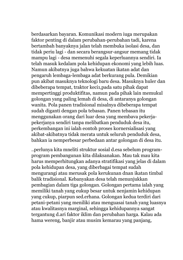berdasarkan bayaran. Komunikasi modern iuga merupakan faktor penting di dalam perubahan-perubahan tadi, karena bertambah banyaknya jalan telah membuka isolasi desa, dan tidak periu lagi - dan secara berangsur-angsur memang tidak mampu lagi - desa memenuhi segala keperluannya sendiri. Ia telah masuk kedalam pola kehidupan ekonomi yang lebih luas. Namun akibatnya juga bahwa kekuatan ikatan adat dan pengaruh lembaga-lembaga adat berkurang pula. Demikian pun akibat masuknya teknologi baru desa. Masuknya huler dan dibeberapa tempat, traktor keci1,pada satu pihak dapat mempertinggi produktifitas, namun pada pihak lain memukul golongan yang paling lemah di desa, di antaranya golongan wanita. Pola panen tradisional misalnya dibeberapa tempat sudah diganti dengan pola tebasan. Panen tebasan itu menggunakan orang dari luar desa yang membava pekerjapekerjanya sendiri tanpa melibatkan penduduk desa itu, perkembangan ini ialah eontoh proses kornersialisasi yang akibat-akibatnya tidak merata untuk seluruh penduduk desa, bahkan ia nemperbesar perbedaan antar golongan di desa itu.

..perlunya kita mneliti struktur sosial d.esa sebelum programprogram pembangunan kita dilaksanakan. Mau tak mau kita harus memperhitungkan adanya stratifikasi yang jelas di dalam pola kehidupan desa, yang diberbagai tempat sudah mengurangi atau merusak pola kerukunan dnan ikatan timbal balik tradisional. Kebanyakan desa telah menunjukkan pembagian dalam tiga golongan. Golongan pertama ialah yang memiliki tanah yang eukup besar untuk nenjamin kehidupan yang cukup, piarpun sed.erhana. Golongan kedua terdiri dari petani-petani yang meniliki atau menguasai tanah yang luasnya atau kwalitasnya marginal, sehingga kehidupannya sangat tergantung d.ari faktor iklim dan perubahan harga. Kalau ada hama wereng, banjir atau musim kemarau yang panjang,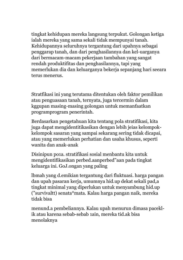tingkat kehidupan mereka langsung terpukut. Golongan ketiga ialah mereka yang sama sekali tidak mempunyai tanah. Kehidupannya seluruhnya tergantung dari upahnya sebagai penggarap tanah, dan dari penghasilannya dan kel-uarganya dari bermacam-macam pekerjaan tambahan yang sangat rendah produktifitas dan penghasilannya, tapi yang memerlukan dia dan keluarganya bekerja sepanjang hari seeara terus menerus.

Stratfikasi ini yang terutama ditentukan oleh faktor pemilikan atau penguasaan tanah, ternyata, juga tercermin dalam kggupan masing-masing golongan untuk memanfaatkan programprogram penerintah.

Berdasarkan pengetahuan kita tentang pola stratifikasi, kita juga dapat mengidentitikasikan dengan lebih jeias kelompokkelompok sasaran yang sampai sekarang sering tidak dicapai, atau yang memerlukan perhatian dan usaha khusus, seperti wanita dan anak-anak

Disinipun po1a. stratifikasi sosial menbantu kita untuk mengidentifikasikan perbed.aanperbed"aan pada tingkat keluarga ini. GoJ.ongan yang paling

lbmah yang d.emikian tergantung dari fluktuasi. harga pangan dan upah pasaran kerja, umumnya hid.up dekat sekali pad,a tingkat minimal yang diperlukan untuk menyambung hid.up ("survivaltt) senata\*mata. Kalau harga pangan naik, mereka tidak bisa

menund.a pembeliannya. Kalau upah menurun dimasa paceklik atau karena sebab-sebab 1ain, mereka tid.ak bisa menolaknya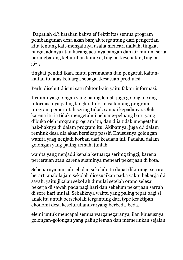Dapatlah d.'i katakan bahva ef f ektif itas semua program pembangunan desa akan banyak tergantung dari pengertian kita tentang kait-mengaitnya usaha mencari nafkah, tingkat harga, adanya atau kurang ad.anya pangan dan air minum serta barangbarang kebutuhan lainnya, tingkat kesehatan, tingkat gizi,

tingkat pendid.ikan, mutu perumahan dan pengaruh kaitankaitan itu atas keluarga sebagai .kesatuan prod.uksi.

Perlu disebut d.isini satu faktor l-ain yaitu faktor informasi.

Itrnumnya golongan yang paling lemah juga golongan yang informasinya paling langka. Informasi tentang programprogram pemerintah sering tid.ak sanpai kepadanya. Oleh karena itu ia tidak mengetahui peluang-peluang baru yang dibuka oleh programprogram itu, dan d.ia tidak mengetahui hak-haknya di dalam program itu. Akibatnya, juga d.i dalam remhuk desa dia akan bersikap passif. Khususnya golongan wanita yaag nenjadi korban dari keadaan ini. Padahal dalam golongan yang paling 1emah, junlah

wanita yang nenjad.i kepala ke1uarga serimg tinggi, karena perceraian atau karena suaminya meneari pekerjaan di kota.

Sebenarnya jum1ah jebolan sekolah itu dapat dikurangi secara berarti apabila jam sekolah disesuaikan pad.a vaktu beker,ja d.i savah, yaitu jikalau sekol ah dimulai setelah orano selesai bekerja di sawah pada pagi hari dan sebelum pekerjaan sarrah di sore hari muIai. Sebaliknya waktu yang paling tepat bagi si anak itu untuk bersekolah tergantung dari type keaktipan ekonomi desa keseluruhannyaryang berbeda-beda.

elemi untuk mencapai semua warganegaranya, ilan khususnya golongan-golongan yang paling lemah dan memerlukan sejalan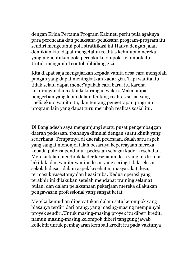dengan Krida Pertama Program Kabinet, perlu pula agaknya para perencana dan pelaksana-pelaksana program-program itu sendiri mengetahui pola stratifikasi ini.Hanya dengan jalan demikian kita dapat mengetahui realitas kehidupan nereka yang menentukan pola perilaku kelompok-kelompok itu . Untuk mengambil contoh dibidang gizi.

Kita d.apat saja mengajarkan kepada vanita desa cara mengolah pangan yang dapat meningkatkan kadar gizi. Tapi wanita itu tidak selalu dapat mene:"apakah cara baru. itu karena kekurangan dana atau kekurangan waktu. Maka tanpa pengertian yang lebih dalam tentang realitas sosial yang rneliagkupi wanita itu, dan tentang pengetrapan program program lain yang dapat turu merubah realitas sosial itu.

Di Bangladesh saya mengunjungi suatu pusat pengemba4gan daerah pedesaan. tbahanya dimulai dengan suatu klinik yang sederhana. Tempatnya di daerah pedesaan. Salah satu aspek yang sangat menonjol ialah besarnya kepercayaan mereka kepada potensi penduduk pedesaan sebagai kader kesehatan. Mereka telah mendidik kader kesehatan desa yang terdiri d.ari laki-laki dan wanita-wanita desar yang sering tidak selesai sekolah dasar, dalam aspek kesehatan masyarakat desa, termasuk vasectomy dan ligasi tuba. Kedua operasi yang terakhir ini dilakukan setelah mendapat training selama1 bulan, dan dalam pelaksanaan pekerjaan mereka dilakukan pengawasan professional yang sangat ketat.

Mereka kemudian dipersatukan dalam satu ketompok yang biasanya terdiri dari orang, yang masing-masing mempunyai proyek sendiri.Untuk masing-masing proyek itu diberi kredit, namun masing-masing kelompok diberi tanggung jawab kollektif untuk pembayaran kembali kredit itu pada vaktunya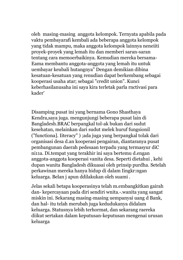oleh masing-masing anggota kelompok. Ternyata apabila pada vaktu pembayarafi kembali ada beberapa anggota kelompok yang tidak mampu, maka anggota kelompok lainnya neneiiti proyek-proyek yang lemah itu dan memberi saran-saran tentang cara memoerbaikinya. Kemudian mereka bersama-Eama membantu anggota-anggota yang lemah itu untuk uembayar keubali hutangnya" Dengan demikian dibina kesatuan-kesatuan yang renudian dapat berkembang sebagai kooperasi usaha atar; sebagai "credit union". Kunci keberhasilanusaha ini saya kira terletak parla rnctivasi para kader'

Disamping pusat ini yang bernama Gono Shasthaya Kendra,saya juga. mengunjungi beberapa pusat lain di Bangladesh.BRAC berpangkal tol-ak bukan dari sudut kesehatan, melainkan dari sudut melek huruf fungsionil ("functiona]. Iiteracy" ) ;ada juga yang berpangkal tolak dari organisasi desa d.an kooperasi pengairan, diantaranya pusat pembangunan daerah pedesaan terpadu yang termasyur diC ni11a. Di.tempat yang terakhir ini saya bertemu d.engan anggota-anggota kooperasi vanita desa. Seperti dietahui , kehi dupan wanita Bangladesh dikuasai oleh prinsip purdha. Setelah perkawinan mereka hanya hidup di dalam Iingkr:ngan keluarga. Belan j apun ddilakukan oleh suami .

Jelas sekali betapa kooperasinya telah m.embangkitkan gairah dan- kepercayaan pada diri sendiri wnita.-.wanita yang sangat miskin ini. Sekarang masing-masing uempanyai uang d Bank, dan hal- itu telah merubah juga kedudukanya didalam keluarga. Statusnya lebih terhormat, dan sekarang raereka diikut sertakan dalam keputusan-keputusan mengenai urusan keluarga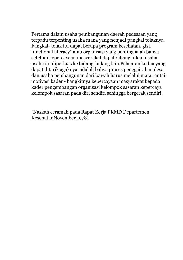Pertama dalam usaha pembangunan daerah pedesaan yang terpadu terpenting usaha mana yang nenjadi pangkal tolaknya. Fangkal- tolak itu dapat berupa program kesehatan, gizi, functional literacy" atau organisasi yang penting ialah bahva setel-ah kepercayaan masyarakat dapat dibangkitkan usahausaha itu diperluas ke bidang-bidang lain,Pelajaran kedua yang dapat ditarik agaknya, adalah bahva proses penggairahan desa dan usaha pembangunan dari bawah harus melalui mata rantai: motivasi kader - bangkitnya kepercayaan masyarakat kepada kader pengembangan organisasi kelompok sasaran kepercaya kelompok sasaran pada diri sendiri sehingga bergerak sendiri.

(Naskah ceramah pada Rapat Kerja PKMD Departemen KesehatanNovember 1978)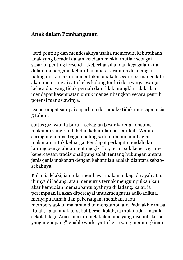#### **Anak dalam Pembangunan**

..arti penting dan mendesaknya usaha memenuhi kebutuhan2 anak yang beradal dalam keadaan miskin mutlak sebagai sasaran penting tersendiri.keberhaasilan dan kegagalan kita dalam menanganii kebutuhan anak, terutama di kalangan paling miskin, akan menentukan apakah secara permanen kita akan mempunyai satu kelas kolong terdiri dari warga-warga kelasa dua yang tidak pernah dan tidak mungkin tidak akan mendapat kesempatan untuk mengembangkan secara pentuh potensi manusiawinya.

..seperempat sampai seperlima dari anak2 tidak mencapai usia 5 tahun.

status gizi wanita buruk, sebagian besar karena konsumsi makanan yang rendah dan kehamilan berkali-kali. Wanita sering mendapat bagian paling sedikit dalam pembagian makanan untuk keluarga. Pendapat perkapita rendah dan kurang pengetahuan tentang gizi ibu, termasuk kepercayaankepercayaan tradisionail yang salah tentang hubungan antara jenis-jenis makanan dengan kehamilan adalah diantara sebabsebabnya.

Kalau ia lelaki, ia mulai membawa makanan kepada ayah atau ibunya di ladang, atau mengurus ternak mengumpulkan kau akar kemudian memabbantu ayahnya di ladang, kalau ia perempuan ia akan dipercayai untukmengurus adik-adikna, menyapu rumah dan pekerangan, membantu ibu mempersiapkan makanan dan mengambil air. Pada akhir masa itulah, kalau anak tersebut bersekkolah, ia mulai tidak masuk sekolah lagi. Anak-anak di melakukan apa yang disebut "kerja yang menopang"-enable work- yaitu kerja yang memungkinan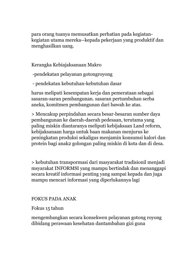para orang tuanya memusatkan perhatian pada kegiatankegiatan utama mereka--kepada pekerjaan yang produktif dan menghasilkan uang.

Kerangka Kebiajaksanaan Makro

-pendekatan pelayanan gotongroyong

- pendekatan kebutuhan-kebutuhan dasar

harus meliputi kesempatan kerja dan pemerataan sebagai sasaran-saran pembangunan. sasaran pertumbuhan serba aneka, komitmen pembangunan dari bawah ke atas.

> Mencakup perpindahan secara besar-besaran sumber daya pembangunan ke daerah-daerah pedesaan, terutama yang paling miskin diantaranya meliputi kebijaksaan Land reform, kebijaksanaan harga untuk baan makanan menjurus ke peningkatan produksi sekaligus menjamin konsumsi kalori dan protein bagi anak2 golongan paling miskin di kota dan di desa.

> kebutuhan transpormasi dari masyarakat tradisionil menjadi msyarakat INFORMSI yang mampu bertindak dan menanggapi secara kreatif informasi penting yang sampai kepada dan juga mampu mencari informasi yang diperlukannya lagi

#### FOKUS PADA ANAK

#### Fokus 15 tahun

mengembangkan secara konsekwen pelayanan gotong royong dibidang perawaan kesehatan dantambahan gizi guna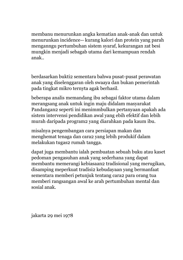membanu menurunkan angka kematian anak-anak dan untuk menurunkan incidence-- kurang kalori dan protein yang parah menganngu pertumbuhan sistem syaraf, kekurangan zat besi mungkin menjadi sebagab utama dari kemampuan rendah anak..

berdasarkan bukti2 sementara bahwa pusat-pusat perawatan anak yang diselenggaran oleh swaaya dan bukan pemerintah pada tingkat mikro ternyta agak berhasil.

beberapa analis memandang ibu sebagai faktor utama dalam merangsang anak untuk ingin maju didalam masyarakat Pandangan2 seperti ini menimmbulkan pertanyaan apakah ada sistem intervensi pendidikan awal yang ebih efektif dan lebih murah daripada program2 yang diarahkan pada kaum ibu.

misalnya pengembangan cara persiapan makan dan menghemat tenaga dan cara2 yang lebih produkif dalam melakukan tugas2 rumah tangga.

dapat juga membantu ialah pembuatan sebuah buku atau kaset pedoman pengasuhan anak yang sederhana yang dapat membantu memerangi kebiasaan2 tradisional yang merugikan, disamping meperkuat tradisi2 kebudayaan yang bermanfaat sementara memberi petunjuk tentang cara2 para orang tua memberi rangsangan awal ke arah pertumbuhan mental dan sosial anak.

jakarta 29 mei 1978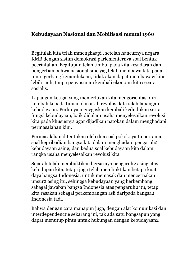## **Kebudayaan Nasional dan Mobilisasi mental 1960**

Begitulah kita telah mmenghaapi , setelah hancurnya negara KMB dengan sistim demokrasi parlementernya soal bentuk peerintahan. Begitupun telah timbul pada kita kesadaran dan pengertian bahwa nasionalisme yag telah membawa kita pada pintu gerbang kemerdekaan, tidak akan dapat membawaw kita lebih jauh, tanpa penyusunan kembali ekonomi kita secara sosialis.

Lapangan ketiga, yang memerlukan kita mengorientasi diri kembali kepada tujuan dan arah revolusi kita ialah lapangan kebudayaan. Perlunya menegaskan kembali kedudukan serta fungsi kebudayaan, baik didalam usaha menyelesaikan revolusi kita pada khususnya agar dijadikan patokan dalam menghadapi permasalahan kini.

Permasalahan ditentukan oleh dua soal pokok: yaitu pertama, soal kepribadian bangsa kita dalam menghadapi pengaruh2 kebudayaan asing, dan kedua soal kebudayaan kita dalam rangka usaha menyelesaikan revolusi kita.

Sejarah telah membuktikan bersarnya pengaruh2 asing atas kehidupan kita, tetapi juga telah membuktikan betapa kuat daya bangsa Indonesia, untuk memasak dan mencernakan unsur2 asing itu, sehingga kebudayaan yang berkembang sabagai jawaban bangsa Indonesia atas pengaruh2 itu, tetap kita rasakan sebagai perkembangan asli daripada bangsa2 Indonesia tadi.

Bahwa dengan cara manapun juga, dengan alat komunikasi dan interdependenctie sekarang ini, tak ada satu bangsapun yang dapat menutup pintu untuk hubungan dengan kebudayaan2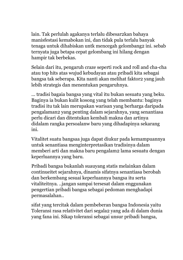lain. Tak perlulah agakanya terlalu dibesar2kan bahaya manisfestasi kemabokan ini, dan tidak pula terlalu banyak tenaga untuk dihabiskan untk mencegah gelombang2 ini. sebab ternyata juga betapa cepat gelombang ini hilang dengan hampir tak berbekas.

Selain dari itu, pengaruh craze seperti rock and roll and cha-cha atau top hits atas wujud kebudayan atau pribadi kita sebagai bangsa tak seberapa. Kita nanti akan melihat faktor2 yang jauh lebih strategis dan menentukan pengaruhnya.

... tradisi bagaia bangsa yang vital itu bukan sesuatu yang beku. Baginya ia bukan kulit kosong yang telah membantu: baginya tradisi itu tak lain merupakan warisan yang berharga daripada pengalaman2 yang penting dalam sejarahnya, yang senantiasa perlu dicari dan ditentukan kembali makna dan artinya didalam rangka persoalanw baru yang dihadapinya sekarang ini.

Vitalitet suatu bangsaa juga dapat diukur pada kemampuannya untuk senantiasa menginterpretasikan tradisinya dalam memberi arti dan makna baru pengalam2 lama sesuatu dengan keperluannya yang baru.

Pribadi bangsa bukanlah suauyang statis melainkan dalam continueitet sejarahnya, dinamis sifatnya senantiasa berobah dan berkembang sesuai keperluannya bangsa itu serta vitaliteitnya. ..jangan sampai tersesat dalam enggunakan pengertian pribadi bangsa sebagai pedoman menghadapi permasalahan..

sifat yang tercitak dalam pembeberan bangsa Indonesia yaitu Toleransi rasa relativitet dari segala2 yang ada di dalam dunia yang fana ini. Sikap toleransi sebagai unsur pribadi bangsa,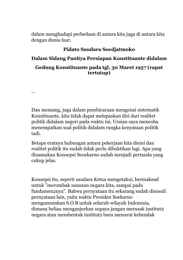dalam menghadapi perbedaan di antara kita juga di antara kita dengan dunia luar.

#### **Pidato Saudara Soedjatmoko**

#### **Dalam Sidang Panitya Persiapan Konstituante didalam**

#### **Gedung Konstituante pada tgl. 30 Maret 1957 (rapat tertutup)**

Dan memang, juga dalam pembicaraan mengenai sistematik Konstituante, kita tidak dapat melepaskan diri dari realitet politik didalam negeri pada waktu ini. Uraian saya mencoba menempatkan soal politik didalam rangka kenyataan politik tadi.

...

Betapa eratnya hubungan antara pekerjaan kita disini dan realitet politik itu sudah tidak perlu dibuktikan lagi. Apa yang dinamakan Konsepsi Seoekarno sudah menjadi pertanda yang cukup jelas.

Konsepsi itu, seperti saudara Ketua mengetahui, bermaksud untuk "merombak susunan negara kita, sampai pada fundamen2nya". Bahwa pernyataan itu sekarang sudah disusuli pernyataan lain, yaitu waktu Presiden Soekarno mengumumkan S.O.B untuk seluruh wilayah Indonesia, dimana beliau menganjurkan supaya jangan merusak institut2 negara atau membentuk institut2 baru menurut kehendak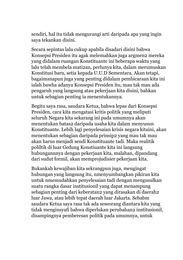sendiri, hal itu tidak mengurangi arti daripada apa yang ingin saya tekankan disini.

Secara sepintas lalu cukup apabila disadari disini bahwa Konsepsi Presiden itu agak melemahkan juga argmen2 mereka yang didalam ruangan Konstituante ini beberapa waktu yang lalu telah membela mati2an, perlunya kita, dalam merumuskan Konstitusi baru, setia kepada U.U.D Sementara. Akan tetapi, bagaimanapun juga yang penting didalam pembicaraan kita ini ialah bawha adanya Konsepsi Presiden itu, mau tak mau ada pengaruh yang langsung atau pekerjaan kita disini, bahkan untuk sebagian penting ia menentukannya.

Begitu saya rasa, saudara Ketua, bahwa lepas dari Konsepsi Presiden, cara kita mengatasi kritis politik yang meliputi seluruh Negara kita sekarang ini pada umumnya akan menentukan batas2 daripada usaha kita dalam menyusun Konstituante. Lebih lagi penyelesaian krisis negara kitaini, akan menentukan sebagian daripada prinsip2 yang mau tak mau akan harus menjadi sendi Konstituante tadi. Maka realitik poliltik di luar Gedung Konstiuante kita ini langsung hubungannnya dengan pekerjaan kita, malahan, dipandang dari sudut formil, akan memprojudisier pekerjaan kita.

Bukankah kewajiban kita sekrangpun juga, mengingat hubungan yang langsung itu, nmenyumbangkan pikiran kita untuk nmemudahkan penyelesaian tadi dengan mengusulkan suatu rangka dasar institusionil yang dapat menampung sebagian penting dari keberatan2 yang dirasakan di daerah2 luar Jawa, atau lebih tepat daerah luar Jakarta. Sebabm saudara Ketua saya rasa tak ada seseorang diantara kita yang tidak menginsyafi bahwa diperlukan perubahan2 institusionil, disampingnya pemberesan politik pada umumnya, untuk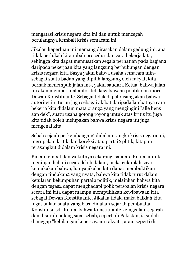mengatasi krisis negara kita ini dan untuk mencegah berulangnya kembali krisis semacam ini.

Jikalau keperluan ini memang dirasakan dalam gedung ini, apa tidak perlukah kita robah procedur dan cara bekerja kita, sehingga kita dapat memusatkan segala perhatian pada bagian2 daripada pekerjaan kita yang langsung berhubungan dengan krisis negara kita. Sasya yakin bahwa usaha semacam ininsebagai suatu badan yang dipilih langsung oleh rakyat, kita berhak menempuh jalan ini-, yakin saudara Ketua, bahwa jalan ini akan memperkuat autoritet, kewibawaan politik dan moril Dewan Konstituante. Sebagai tidak dapat disangsikan bahwa autoritet itu turun juga sebagai akibat daripada lambatnya cara bekerja kita didalam mata orang2 yang mengingini "alle hens aan dek", suatu usaha gotong royong untuk atas kritis itu juga kita tidak boleh melupakan bahwa krisis negara itu juga mengenai kita.

Sebab sejauh perkembangan2 didalam rangka krisis negara ini, merupakan kritik dan koreksi atau partai2 plitik, kitapun terasangkut didalam krisis negara ini.

Bukan tempat dan wakutnya sekarang, saudara Ketua, untuk meninjau hal ini secara lebih dalam, maka cukuplah saya kemukakan bahwa, hanya jikalau kita dapat membuktikan dengan tindakan2 yang nyata, bahwa kita tidak turut dalam ketularan kelumpuhan partai2 politik, melainkan bahwa kita dengan tegas2 dapat menghadapi polik persoalan krisis negara secara ini kita dapat mampu mempulihkan kewibawaan kita sebagai Dewan Konstituante. Jikalau tidak, maka baiklah kita ingat bukan suatu yang baru didalam sejarah pembuatan Konstitusi, sdr.Ketua, bahwa Konstituante keinggalan sejarah, dan disuruh pulang saja, sebab, seperti di Pakistan, ia sudah dianggap "kehilangan kepercayaan rakyat", atau, seperti di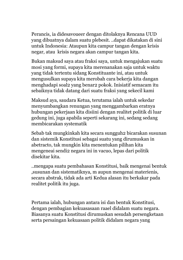Perancis, ia didesavoueer dengan ditolaknya Rencana UUD yang dibuatnya dalam suatu plebesit. ..dapat dikatakan di sini untuk Indonesia: Ataupun kita campur tangan dengan krisis negar, atau krisis negara akan campur tangan kita.

Bukan maksud saya atau fraksi saya, untuk mengajukan suatu mosi yang formi, supaya kita merenanakan saja untuk waktu yang tidak tertentu sidang Konstituante ini, atau untuk mengusulkan supaya kita merobah cara bekerja kita dangan menghadapi soal2 yang benar2 pokok. Inisiatif semacam itu sebaiknya tidak datang dari suatu fraksi yang sekecil kami

Maksud aya, saudara Ketua, terutama ialah untuk sekedar menyumbangkan renungan yang menggambarkan eratnya hubungan pekerjaan kita disiini dengan realitet politik di luar gedung ini, juga apabila seperti sekarang ini, sedang sedang membicarakan systematik

Sebab tak mungkinkah kita secara sungguh2 bicarakan susunan dan sistemik Konstitusi sebagai suatu yang dirumuskan in abetracto, tak mungkin kita menentukan pilihan kita mengeneai sendi2 negara ini in vacuo, lepas dari politik disekitar kita.

..mengapa suatu pembahasan Konstitusi, baik mengenai bentuk ,susunan dan sistematiknya, m aupun mengenai materienis, secara abstrak, tidak ada arti Kedua alasan itu berkakar pada realitet politik itu juga.

Pertama ialah, hubungan antara isi dan bentuk Konstitusi, dengan pembagian kekuasasaan raael didalam suatu negara. Biasanya suatu Konstitusi dirumuskan sesudah persengketaan serta persaingan kekuasaan politik didalam negara yang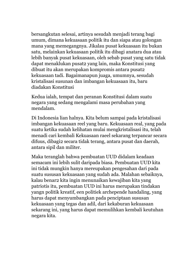bersangkutan selesai, artinya sesudah menjadi terang bagi umum, dimana kekuasaan politik itu dan siapa atau golongan mana yang memegangnya. Jikalau pusat kekuasaan itu bukan satu, melainkan kekuasaan politik itu dibagi anatara dua atau lebih banyak pusat kekuasaan, oleh sebab pusat yang satu tidak dapat menaklukan pusat2 yang lain, maka Konstitusi yang dibuat itu akan merupakan kompromis antara pusat2 kekuasaan tadi. Bagaimanapun juaga, umumnya, sesudah kristalisasi susunan dan imbangan kekuasaan itu, baru diadakan Konstitusi

Kedua ialah, tempat dan peranan Konstitusi dalam suatu negara yang sedang mengalami masa perubahan yang mendalam.

Di Indonesia lian halnya. Kita belum sampai pada kristalisasi imbangan kekuasaan reel yang baru. Kekuasaan real, yang pada suatu ketika sudah kelihatan mulai mengkristalisasi itu, telah menadi cari kembali Kekuasaan raeel sekarang terpancar secara difuus, dibagi2 secara tidak terang, antara pusat dan daerah, antara sipil dan militer.

Maka teranglah bahwa pembuatan UUD didalam keadaan semacam ini lebih sulit daripada biasa. Pembuatan UUD kita ini tidak mungkin hanya mereupakan pengesahan dari pada suatu sususan kekuasaan yang sudah ada. Malahan sebaiknya, kalau benar2 kita ingin menunaikan kewajiban kita yang patriotis itu, pembuatan UUD ini harus merupakan tindakan yangn politik kreatif, een politiek archepende handaling, yang harus dapat menyumbangkan pada penciptaan sususan kekuasaan yang tegas dan adil, dari kekaburan kekuasaan sekarang ini, yang harus dapat memulihkan kembali keutuhan negara kita.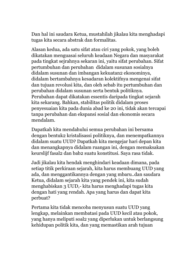Dan hal ini saudara Ketua, mustahilah jikalau kita menghadapi tugas kita secara abstrak dan formalitas.

Alasan kedua, ada satu sifat atau ciri yang pokok, yang boleh dikatakan menguasai seluruh keadaan Negara dan masyarakat pada tingkat sejrahnya sekaran ini, yaitu sifat perubahan. Sifat pertumbuhan dan perubahan didalam susunan sosialnya didalam susunan dan imbangan kekuatan2 ekonominya, didalam bertambahnya kesadaran kolektifnya mengenai sifat dan tujuan revolusi kita, dan oleh sebab itu pertumbuhan dan perubahan didalam susunan serta bentuk politiknya. Perubahan dapat dikatakan essentis daripada tingkat sejarah kita sekarang. Bahkan, stabilitas politik didalam proses penyesuaian kita pada dunia abad ke 20 ini, tidak akan tercapai tanpa perubahan dan ekspansi sosial dan ekonomis secara mendalam.

Dapatkah kita mendahului semua perubahan ini bersama dengan bentuk2 kristalisassi politiknya, dan menempatkannya didalam suatu UUD? Dapatkah kita mengejar hari depan kita dan menangkapnya didalam ruangan ini, dengan memaksakan keurslijf fasal2 dan bab2 suatu konstitusi. Saya rasa tidak.

Jadi jikalau kita hendak menghindari keadaan dimana, pada setiap titik perkiraan sejarah, kita harus membuang UUD yang ada, dan menggantikannya dengan yang mbaru..dan saudara Ketua, didalam sejarah kita yang pendek ini, kita sudah menghabiskan 3 UUD,- kita harus menghadapi tugas kita dengan hati yang rendah. Apa yang harus dan dapat kita perbuat?

Pertama kita tidak mencoba menyusun suatu UUD yang lengkap, melainkan membatasi pada UUD kecil atau pokok, yang hanya meliputi soal2 yang diperlukan untuk berlangsung kehidupan politik kita, dan yang memastikan arah tujuan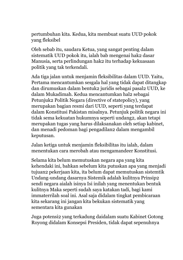pertumbuhan kita. Kedua, kita membuat suatu UUD pokok yang fleksibel

Oleh sebab itu, saudara Ketua, yang sangat penting dalam sistematik UUD pokok itu, ialah bab mengenai hak2 dasar Manusia, serta perlindungan hak2 itu terhadap kekuasaan politik yang tak terkendali.

Ada tiga jalan untuk menjamin fleksibilitas dalam UUD. Yaitu, Pertama mencantumkan sesgala hal yang tidak dapat ditangkap dan dirumuskan dalam bentuk2 juridis sebagai pasal2 UUD, ke dalam Mukadimah. Kedua mencantumkan hal2 sebagai Petunjuk2 Politik Negara (directive of statepolicy), yang merupakan bagian resmi dari UUD, seperti yang terdapat dalam Konstitusi Pakistan misalnya. Petunjuk politik negara ini tidak sema kekuatan hukumnya seperti undang2, akan tetapi merupakan tugas yang harus dilaksanakan oleh setiap kabinet, dan menadi pedoman bagi pengadilan2 dalam mengambil keputusan.

Jalan ketiga untuk menjamin fleksibilitas itu ialah, dalam menentukan cara merobah atau mengamandeer Konstitusi.

Selama kita belum memutuskan negara apa yang kita kehendaki ini, bahkan sebelum kita putuskan apa yang menjadi tujuan2 pekerjaan kita, ita belum dapat memutuskan sistemtik Undang-undang dasarnya Sistemik adalah kulitnya Prinsip2 sendi negara aialah isinya Isi inilah yang menentukan bentuk kulitnya Maka seperti sudah saya katakan tadi, bagi kami immaterrilah soal ini. Asal saja didalam tingkat pembicaraan kita sekarang ini jangan kita bekukan sistematik yang sementara kita gunakan

Juga potensi2 yang terkadung daidalam suatu Kabinet Gotong Royong didalam Konsepsi Presiden, tidak dapat sepenuhnya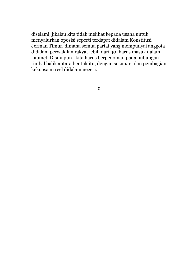diselami, jikalau kita tidak melihat kepada usaha untuk menyalurkan oposisi seperti terdapat didalam Konstitusi Jerman Timur, dimana semua partai yang mempunyai anggota didalam perwakilan rakyat lebih dari 40, harus masuk dalam kabinet. Disini pun , kita harus berpedoman pada hubungan timbal balik antara bentuk itu, dengan susunan dan pembagian kekuasaan reel didalam negeri.

-0-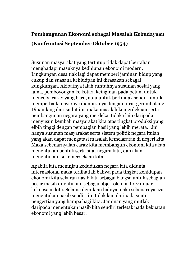# **Pembangunan Ekonomi sebagai Masalah Kebudayaan (Konfrontasi September Oktober 1954)**

Susunan masyarakat yang tertutup tidak dapat bertahan menghadapi masuknya kedhiupan ekonomi modern. Lingkungan desa tiak lagi dapat memberi jaminan hidup yang cukup dan suasana kehiudpan ini dirasakan sebagai kungkungan. Akibatnya ialah runtuhnya susunan sosial yang lama, pemboyongan ke kota2, keinginan pada petani untuk mencoba cara2 yang baru, atau untuk bertindak sendiri untuk memperbaiki nasibnya diantaranya dengan turut gerombolan2. Dipandang dari sudut ini, maka masalah kemerdekaan serta pembangunan negara yang merdeka, tidaka lain daripada menyusun kembali masyarakat kita atas tingkat produksi yang elbih tinggi dengan pembagian hasil yang lebih merata. ..ini hanya susunan masyarakat serta sistem politik negara itulah yang akan dapat mengatasi masalah kemelaratan di negeri kita. Maka sebenarnyalah cara2 kita membangun ekonomi kita akan menentukan bentuk serta sifat negara kita, dan akan menentukan isi kemerdekaan kita.

Apabila kita meninjau kedudukan negara kita didunia internasional maka terlihatlah bahwa pada tingkat kehidupan ekonomi kita sekaran nasib kita sebagai bangsa untuk sebagian besar masih ditentukan sebagai objek oleh faktor2 diluar kekuasaan kita. Selama demikian halnya maka sebenarnya azas menentukan nasib sendiri itu tidak lain daripada suatu pengertian yang hampa bagi kita. Jaminan yang mutlak daripada menentukan nasib kita sendiri terletak pada kekuatan ekonomi yang lebih besar.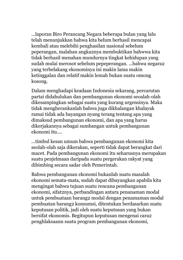...laporan Biro Perancang Negara beberapa bulan yang lalu telah menunjukkan bahwa kita belum berhasil mencapai kembali atau melebihi penghasilan nasional sebelum peperangan, malahan angka2nya membuktikan bahwwa kita tidak berhasil menahan mundurnya tingkat kehidupan yang sudah mulai merosot sebelum pepeperangan. ...bahwa negara2 yang terbelakang ekonominya ini makin lama makin ketinggalan dan relatif makin lemah bukan suatu omong kosong.

Dalam menghadapi keadaan Indonesia sekarang, percarutan partai didahulukan dan pembangunan ekonomi seoalah-olah dikesampingkan sebagai suatu yang kurang urgensinya. Maka tidak mengherankanlah bahwa juga dikhalangan khalayak ramai tidak ada bayangan nyang terang tentang apa yang dimaksud pembangunan ekonomi, dan apa yang harus dikerjakannya sebagai sumbangan untuk pembangunan ekonomi itu....

...timbul kesan umum bahwa pembangunan ekonomi kita seolah-olah saja dikerakan, seperti tidak dapat berangkat dari macet. Pada pembangunan ekonomi itu seharusnya merupakan suatu penjelmaan daripada suatu pergerakan rakyat yang dibimbing secara sadar oleh Pemerintah.

Bahwa pembangunan ekonomi bukanlah suatu masalah ekonomi semata-mata, sudah dapat dibayangkan apabila kita mengingat bahwa tujuan suatu rencana pembangunan ekonomi, sifat2nya, perbandingan antara penanaman modal untuk pembuataan barang2 modal dengan penamaman modal pembuatan barang2 konsumsi, ditentukan berdasarkan suatu keputusan politik, jadi oleh suatu keputusan yang bukan bersifat ekonomis. Begitupun keputusan mengenai cara2 penghlaksaann suatu program pembangunan ekonomi,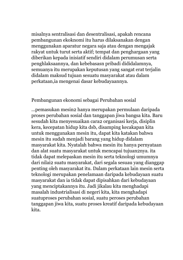misalnya sentralisasi dan desentralisasi, apakah rencana pembangunan ekoknomi itu harus dilaksanakan dengan menggunakan aparatur negara saja atau dengan mengajak rakyat untuk turut serta aktif; tempat dan penghargaan yang diberikan kepada inisiatif sendiri didalam perumusan serta penghlaksaannya, dan kebebasasn pribadi dididalamnya, semuanya itu merupakan keputusan yang sangat erat terjalin didalam maksud tujuan sesuatu masyarakat atau dalam perkataan,ia mengenai dasar kebudayaannya.

#### Pembangunan ekonomi sebagai Perubahan sosial

...pemasukan mesin2 hanya merupakan permulaan daripada proses perubahan sosial dan tanggapan jiwa bangsa kita. Baru sesudah kita menyesuaikan cara2 organisasi kerja, disiplin kera, kecepatan hidup kita dsb, disamping kecakapan kita untuk menggunakan mesin itu, dapat kita katakan bahwa mesin itu sudah menjadi barang yang hidup didalam masyarakat kita. Nyatalah bahwa mesin itu hanya pernyataan dan alat suatu masyarakat untuk mencapai tujuan2nya. ita tidak dapat melepaskan mesin itu serta teknologi umumnya dari nilai2 suatu masyarakat, dari segala sesuau yang dianggap penting oleh masyarakat itu. Dalam perkataan lain mesin serta teknologi merupakan penelamaan daripada kebudayaan suatu masyarakat dan ia tidak dapat dipisahkan dari kebudayaan yang menciptakannya itu. Jadi jikalau kita menghadapi masalah industrialisasi di negeri kita, kita menghadapi suatuproses perubahan sosial, suatu peroses perubahan tanggapan jiwa kita, suatu proses kreatif daripada kebudayaan kita.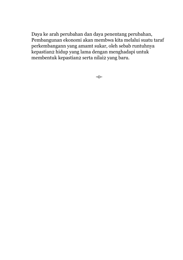Daya ke arah perubahan dan daya penentang perubahan, Pembangunan ekonomi akan membwa kita melalui suatu taraf perkembangann yang amamt sukar, oleh sebab runtuhnya kepastian2 hidup yang lama dengan menghadapi untuk membentuk kepastian2 serta nilai2 yang baru.

-0-